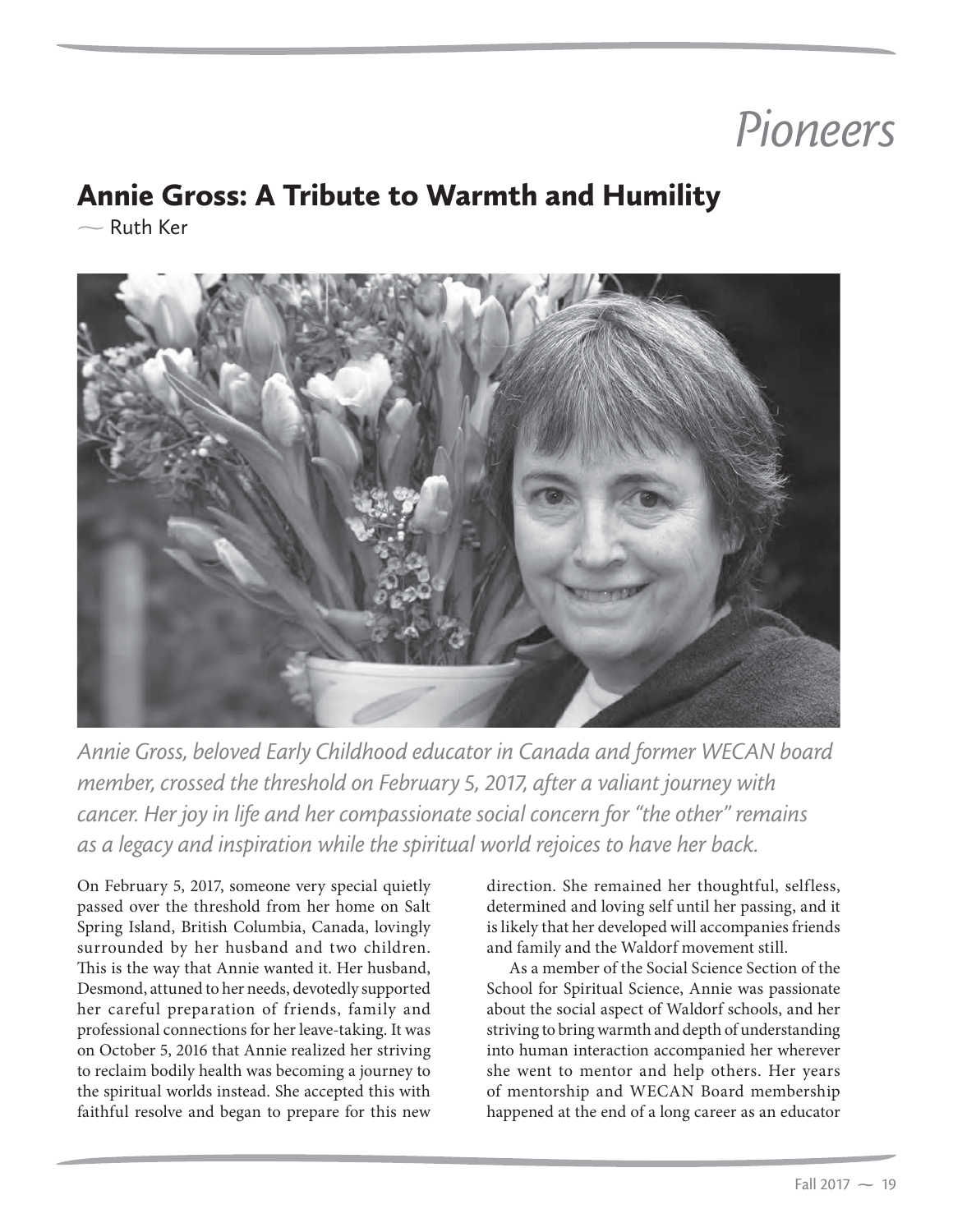## Pioneers

## Annie Gross: A Tribute to Warmth and Humility

 $\sim$  Ruth Ker



*Annie Gross, beloved Early Childhood educator in Canada and former WECAN board member, crossed the threshold on February 5, 2017, after a valiant journey with cancer. Her joy in life and her compassionate social concern for "the other" remains as a legacy and inspiration while the spiritual world rejoices to have her back.*

On February 5, 2017, someone very special quietly passed over the threshold from her home on Salt Spring Island, British Columbia, Canada, lovingly surrounded by her husband and two children. This is the way that Annie wanted it. Her husband, Desmond, attuned to her needs, devotedly supported her careful preparation of friends, family and professional connections for her leave-taking. It was on October 5, 2016 that Annie realized her striving to reclaim bodily health was becoming a journey to the spiritual worlds instead. She accepted this with faithful resolve and began to prepare for this new

direction. She remained her thoughtful, selfless, determined and loving self until her passing, and it is likely that her developed will accompanies friends and family and the Waldorf movement still.

As a member of the Social Science Section of the School for Spiritual Science, Annie was passionate about the social aspect of Waldorf schools, and her striving to bring warmth and depth of understanding into human interaction accompanied her wherever she went to mentor and help others. Her years of mentorship and WECAN Board membership happened at the end of a long career as an educator